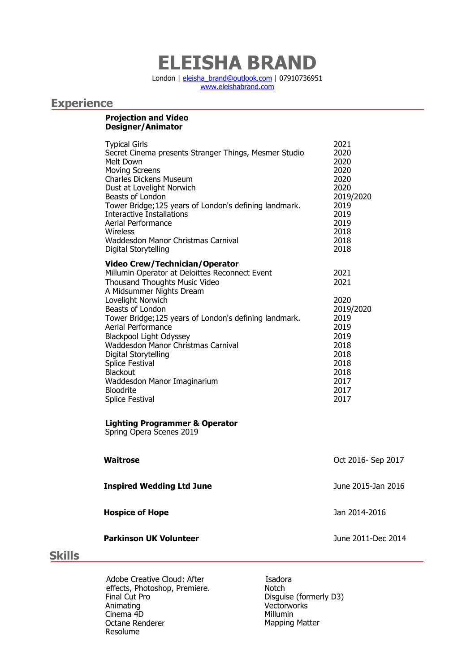# **ELEISHA BRAND**

London | [eleisha\\_brand@outlook.com](mailto:eleisha_brand@outlook.com) | 07910736951 [www.eleishabrand.com](http://www.eleishabrand.com/)

# **Experience**

#### **Projection and Video Designer/Animator**

| <b>Typical Girls</b><br>Secret Cinema presents Stranger Things, Mesmer Studio<br>Melt Down<br><b>Moving Screens</b><br><b>Charles Dickens Museum</b><br>Dust at Lovelight Norwich<br>Beasts of London<br>Tower Bridge; 125 years of London's defining landmark.<br><b>Interactive Installations</b><br>Aerial Performance<br>Wireless<br>Waddesdon Manor Christmas Carnival<br>Digital Storytelling                                                                                | 2021<br>2020<br>2020<br>2020<br>2020<br>2020<br>2019/2020<br>2019<br>2019<br>2019<br>2018<br>2018<br>2018         |
|------------------------------------------------------------------------------------------------------------------------------------------------------------------------------------------------------------------------------------------------------------------------------------------------------------------------------------------------------------------------------------------------------------------------------------------------------------------------------------|-------------------------------------------------------------------------------------------------------------------|
| <b>Video Crew/Technician/Operator</b><br>Millumin Operator at Deloittes Reconnect Event<br>Thousand Thoughts Music Video<br>A Midsummer Nights Dream<br>Lovelight Norwich<br>Beasts of London<br>Tower Bridge; 125 years of London's defining landmark.<br>Aerial Performance<br><b>Blackpool Light Odyssey</b><br>Waddesdon Manor Christmas Carnival<br>Digital Storytelling<br>Splice Festival<br>Blackout<br>Waddesdon Manor Imaginarium<br><b>Bloodrite</b><br>Splice Festival | 2021<br>2021<br>2020<br>2019/2020<br>2019<br>2019<br>2019<br>2018<br>2018<br>2018<br>2018<br>2017<br>2017<br>2017 |
| <b>Lighting Programmer &amp; Operator</b><br>Spring Opera Scenes 2019                                                                                                                                                                                                                                                                                                                                                                                                              |                                                                                                                   |
| Waitrose                                                                                                                                                                                                                                                                                                                                                                                                                                                                           | Oct 2016- Sep 2017                                                                                                |

**Inspired Wedding Ltd June** June 2015-Jan 2016

**Hospice of Hope**  Jan 2014-2016

**Parkinson UK Volunteer** June 2011-Dec 2014

## **Skills**

Adobe Creative Cloud: After effects, Photoshop, Premiere. Final Cut Pro Animating Cinema 4D Octane Renderer Resolume

Isadora Notch Disguise (formerly D3) Vectorworks Millumin Mapping Matter